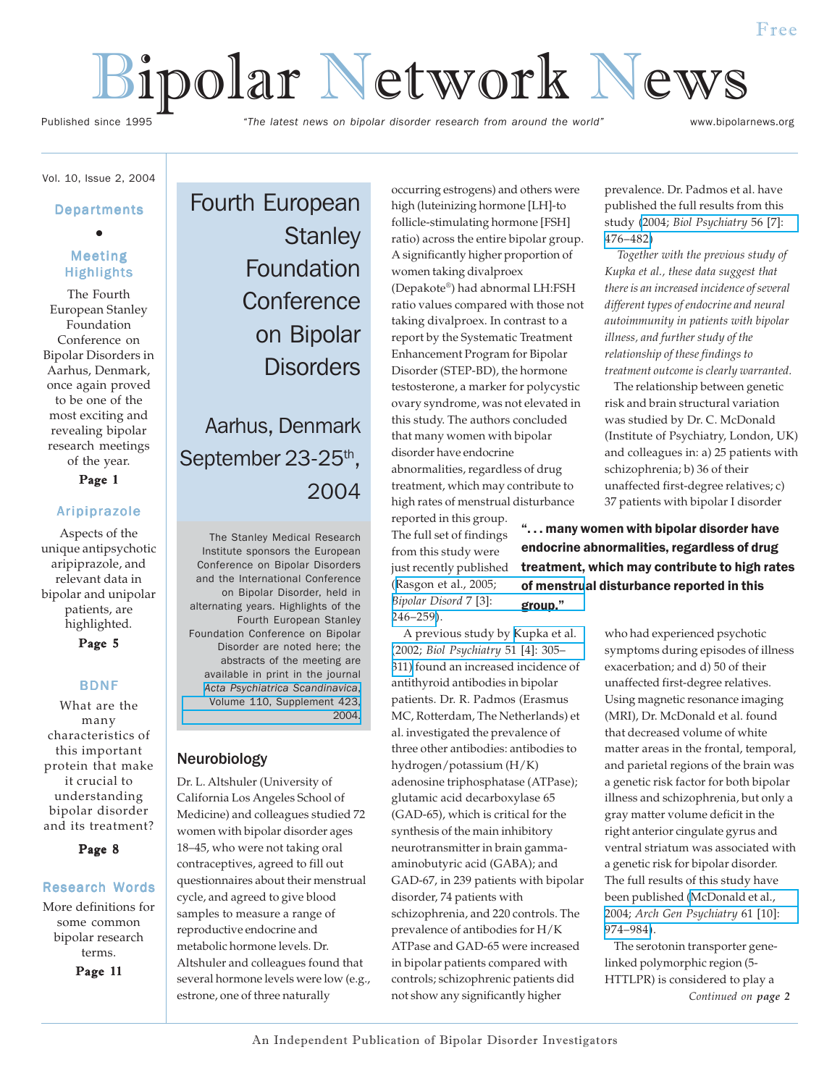# Bipolar Network News

Published since 1995 *"The latest news on bipolar disorder research from around the world"* www.bipolarnews.org

# Vol. 10, Issue 2, 2004

# **Departments** ●

# Meeting Highlights

The Fourth European Stanley Foundation Conference on Bipolar Disorders in Aarhus, Denmark, once again proved to be one of the most exciting and revealing bipolar research meetings of the year.

Page 1

## Aripiprazole

Aspects of the unique antipsychotic aripiprazole, and relevant data in bipolar and unipolar patients, are highlighted.

Page 5

## BDNF

What are the many characteristics of this important protein that make it crucial to understanding bipolar disorder and its treatment?

Page 8

### Research Words

More definitions for some common bipolar research terms.

Page 11

Fourth European **Stanley** Foundation **Conference** on Bipolar **Disorders** 

Aarhus, Denmark September 23-25<sup>th</sup>, 2004

The Stanley Medical Research Institute sponsors the European Conference on Bipolar Disorders and the International Conference on Bipolar Disorder, held in alternating years. Highlights of the Fourth European Stanley Foundation Conference on Bipolar Disorder are noted here; the abstracts of the meeting are available in print in the journal *[Acta Psychiatrica Scandinavica](http://www.blackwell-synergy.com/loi/acp?cookieSet=1)*, [Volume 110, Supplement 423,](http://www.blackwell-synergy.com/loi/acp?cookieSet=1) [2004.](http://www.blackwell-synergy.com/loi/acp?cookieSet=1)

# Neurobiology

Dr. L. Altshuler (University of California Los Angeles School of Medicine) and colleagues studied 72 women with bipolar disorder ages 18–45, who were not taking oral contraceptives, agreed to fill out questionnaires about their menstrual cycle, and agreed to give blood samples to measure a range of reproductive endocrine and metabolic hormone levels. Dr. Altshuler and colleagues found that several hormone levels were low (e.g., estrone, one of three naturally

occurring estrogens) and others were high (luteinizing hormone [LH]-to follicle-stimulating hormone [FSH] ratio) across the entire bipolar group. A significantly higher proportion of women taking divalproex (Depakote®) had abnormal LH:FSH ratio values compared with those not taking divalproex. In contrast to a report by the Systematic Treatment Enhancement Program for Bipolar Disorder (STEP-BD), the hormone testosterone, a marker for polycystic ovary syndrome, was not elevated in this study. The authors concluded that many women with bipolar disorder have endocrine

abnormalities, regardless of drug treatment, which may contribute to high rates of menstrual disturbance

reported in this group. The full set of findings from this study were just recently published ([Rasgon et al., 2005;](http://www.ncbi.nlm.nih.gov/entrez/query.fcgi?cmd=Retrieve&db=pubmed&dopt=Abstract&list_uids=15898962&query_hl=1) *[Bipolar Disord](http://www.ncbi.nlm.nih.gov/entrez/query.fcgi?cmd=Retrieve&db=pubmed&dopt=Abstract&list_uids=15898962&query_hl=1)* 7 [3]: [246–259\)](http://www.ncbi.nlm.nih.gov/entrez/query.fcgi?cmd=Retrieve&db=pubmed&dopt=Abstract&list_uids=15898962&query_hl=1).

 A previous study by [Kupka et al.](http://www.ncbi.nlm.nih.gov/entrez/query.fcgi?cmd=Retrieve&db=pubmed&dopt=Abstract&list_uids=11958781&query_hl=3) (2002; *[Biol Psychiatry](http://www.ncbi.nlm.nih.gov/entrez/query.fcgi?cmd=Retrieve&db=pubmed&dopt=Abstract&list_uids=11958781&query_hl=3)* 51 [4]: 305– [311\)](http://www.ncbi.nlm.nih.gov/entrez/query.fcgi?cmd=Retrieve&db=pubmed&dopt=Abstract&list_uids=11958781&query_hl=3) found an increased incidence of antithyroid antibodies in bipolar patients. Dr. R. Padmos (Erasmus MC, Rotterdam, The Netherlands) et al. investigated the prevalence of three other antibodies: antibodies to hydrogen/potassium (H/K) adenosine triphosphatase (ATPase); glutamic acid decarboxylase 65 (GAD-65), which is critical for the synthesis of the main inhibitory neurotransmitter in brain gammaaminobutyric acid (GABA); and GAD-67, in 239 patients with bipolar disorder, 74 patients with schizophrenia, and 220 controls. The prevalence of antibodies for H/K ATPase and GAD-65 were increased in bipolar patients compared with controls; schizophrenic patients did not show any significantly higher

prevalence. Dr. Padmos et al. have published the full results from this study (2004; *[Biol Psychiatry](http://www.ncbi.nlm.nih.gov/entrez/query.fcgi?cmd=Retrieve&db=pubmed&dopt=Abstract&list_uids=15450782&query_hl=5)* 56 [7]: [476–482\)](http://www.ncbi.nlm.nih.gov/entrez/query.fcgi?cmd=Retrieve&db=pubmed&dopt=Abstract&list_uids=15450782&query_hl=5)

 *Together with the previous study of Kupka et al., these data suggest that there is an increased incidence of several different types of endocrine and neural autoimmunity in patients with bipolar illness, and further study of the relationship of these findings to treatment outcome is clearly warranted.*

 The relationship between genetic risk and brain structural variation was studied by Dr. C. McDonald (Institute of Psychiatry, London, UK) and colleagues in: a) 25 patients with schizophrenia; b) 36 of their unaffected first-degree relatives; c) 37 patients with bipolar I disorder

". . . many women with bipolar disorder have endocrine abnormalities, regardless of drug treatment, which may contribute to high rates of menstrual disturbance reported in this group."

> who had experienced psychotic symptoms during episodes of illness exacerbation; and d) 50 of their unaffected first-degree relatives. Using magnetic resonance imaging (MRI), Dr. McDonald et al. found that decreased volume of white matter areas in the frontal, temporal, and parietal regions of the brain was a genetic risk factor for both bipolar illness and schizophrenia, but only a gray matter volume deficit in the right anterior cingulate gyrus and ventral striatum was associated with a genetic risk for bipolar disorder. The full results of this study have been published [\(McDonald et al.,](http://www.ncbi.nlm.nih.gov/entrez/query.fcgi?cmd=Retrieve&db=pubmed&dopt=Abstract&list_uids=15466670&query_hl=7) 2004; *[Arch Gen Psychiatry](http://www.ncbi.nlm.nih.gov/entrez/query.fcgi?cmd=Retrieve&db=pubmed&dopt=Abstract&list_uids=15466670&query_hl=7)* 61 [10]: [974–984\)](http://www.ncbi.nlm.nih.gov/entrez/query.fcgi?cmd=Retrieve&db=pubmed&dopt=Abstract&list_uids=15466670&query_hl=7).

*Continued on page 2* The serotonin transporter genelinked polymorphic region (5- HTTLPR) is considered to play a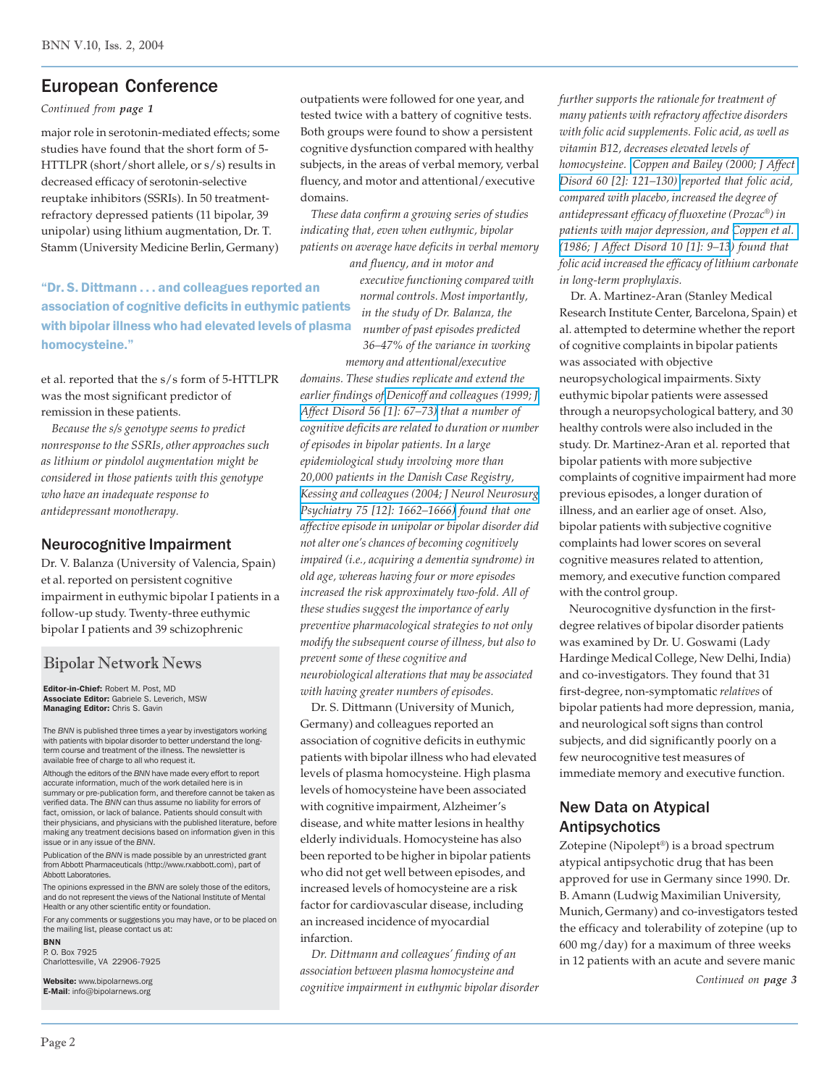# European Conference

*Continued from page 1*

major role in serotonin-mediated effects; some studies have found that the short form of 5- HTTLPR (short/short allele, or s/s) results in decreased efficacy of serotonin-selective reuptake inhibitors (SSRIs). In 50 treatmentrefractory depressed patients (11 bipolar, 39 unipolar) using lithium augmentation, Dr. T. Stamm (University Medicine Berlin, Germany)

"Dr. S. Dittmann . . . and colleagues reported an association of cognitive deficits in euthymic patients with bipolar illness who had elevated levels of plasma homocysteine."

et al. reported that the s/s form of 5-HTTLPR was the most significant predictor of remission in these patients.

 *Because the s/s genotype seems to predict nonresponse to the SSRIs, other approaches such as lithium or pindolol augmentation might be considered in those patients with this genotype who have an inadequate response to antidepressant monotherapy.*

# Neurocognitive Impairment

Dr. V. Balanza (University of Valencia, Spain) et al. reported on persistent cognitive impairment in euthymic bipolar I patients in a follow-up study. Twenty-three euthymic bipolar I patients and 39 schizophrenic

# Bipolar Network News

Editor-in-Chief: Robert M. Post, MD Associate Editor: Gabriele S. Leverich, MSW Managing Editor: Chris S. Gavin

The *BNN* is published three times a year by investigators working with patients with bipolar disorder to better understand the longterm course and treatment of the illness. The newsletter is available free of charge to all who request it.

Although the editors of the *BNN* have made every effort to report accurate information, much of the work detailed here is in summary or pre-publication form, and therefore cannot be taken as verified data. The *BNN* can thus assume no liability for errors of fact, omission, or lack of balance. Patients should consult with their physicians, and physicians with the published literature, before making any treatment decisions based on information given in this issue or in any issue of the *BNN*.

Publication of the *BNN* is made possible by an unrestricted grant from Abbott Pharmaceuticals (http://www.rxabbott.com), part of Abbott Laboratories.

The opinions expressed in the *BNN* are solely those of the editors, and do not represent the views of the National Institute of Mental Health or any other scientific entity or foundation.

For any comments or suggestions you may have, or to be placed on the mailing list, please contact us at:

BNN P. O. Box 7925 Charlottesville, VA 22906-7925

Website: www.bipolarnews.org E-Mail: info@bipolarnews.org

outpatients were followed for one year, and tested twice with a battery of cognitive tests. Both groups were found to show a persistent cognitive dysfunction compared with healthy subjects, in the areas of verbal memory, verbal fluency, and motor and attentional/executive domains.

 *These data confirm a growing series of studies indicating that, even when euthymic, bipolar patients on average have deficits in verbal memory*

*and fluency, and in motor and executive functioning compared with normal controls. Most importantly, in the study of Dr. Balanza, the number of past episodes predicted 36–47% of the variance in working*

*memory and attentional/executive domains. These studies replicate and extend the earlier findings of [Denicoff and colleagues \(1999; J](http://www.ncbi.nlm.nih.gov/entrez/query.fcgi?cmd=Retrieve&db=pubmed&dopt=Abstract&list_uids=10626782&query_hl=9) [Affect Disord 56 \[1\]: 67–73\)](http://www.ncbi.nlm.nih.gov/entrez/query.fcgi?cmd=Retrieve&db=pubmed&dopt=Abstract&list_uids=10626782&query_hl=9) that a number of cognitive deficits are related to duration or number of episodes in bipolar patients. In a large epidemiological study involving more than 20,000 patients in the Danish Case Registry, [Kessing and colleagues \(2004; J Neurol Neurosurg](http://www.ncbi.nlm.nih.gov/entrez/query.fcgi?cmd=Retrieve&db=pubmed&dopt=Abstract&list_uids=15548477&query_hl=11) [Psychiatry 75 \[12\]: 1662–1666\)](http://www.ncbi.nlm.nih.gov/entrez/query.fcgi?cmd=Retrieve&db=pubmed&dopt=Abstract&list_uids=15548477&query_hl=11) found that one affective episode in unipolar or bipolar disorder did not alter one's chances of becoming cognitively impaired (i.e., acquiring a dementia syndrome) in old age, whereas having four or more episodes increased the risk approximately two-fold. All of these studies suggest the importance of early preventive pharmacological strategies to not only modify the subsequent course of illness, but also to prevent some of these cognitive and neurobiological alterations that may be associated with having greater numbers of episodes.*

 Dr. S. Dittmann (University of Munich, Germany) and colleagues reported an association of cognitive deficits in euthymic patients with bipolar illness who had elevated levels of plasma homocysteine. High plasma levels of homocysteine have been associated with cognitive impairment, Alzheimer's disease, and white matter lesions in healthy elderly individuals. Homocysteine has also been reported to be higher in bipolar patients who did not get well between episodes, and increased levels of homocysteine are a risk factor for cardiovascular disease, including an increased incidence of myocardial infarction.

 *Dr. Dittmann and colleagues' finding of an association between plasma homocysteine and cognitive impairment in euthymic bipolar disorder* *further supports the rationale for treatment of many patients with refractory affective disorders with folic acid supplements. Folic acid, as well as vitamin B12, decreases elevated levels of homocysteine. [Coppen and Bailey \(2000; J Affect](http://www.ncbi.nlm.nih.gov/entrez/query.fcgi?cmd=Retrieve&db=pubmed&dopt=Abstract&list_uids=10967371&query_hl=13) [Disord 60 \[2\]: 121–130\)](http://www.ncbi.nlm.nih.gov/entrez/query.fcgi?cmd=Retrieve&db=pubmed&dopt=Abstract&list_uids=10967371&query_hl=13) reported that folic acid, compared with placebo, increased the degree of antidepressant efficacy of fluoxetine (Prozac*®*) in patients with major depression, and [Coppen et al.](http://www.ncbi.nlm.nih.gov/entrez/query.fcgi?cmd=Retrieve&db=pubmed&dopt=Abstract&list_uids=2939126&query_hl=15) [\(1986; J Affect Disord 10 \[1\]: 9–13](http://www.ncbi.nlm.nih.gov/entrez/query.fcgi?cmd=Retrieve&db=pubmed&dopt=Abstract&list_uids=2939126&query_hl=15)) found that folic acid increased the efficacy of lithium carbonate in long-term prophylaxis.*

 Dr. A. Martinez-Aran (Stanley Medical Research Institute Center, Barcelona, Spain) et al. attempted to determine whether the report of cognitive complaints in bipolar patients was associated with objective neuropsychological impairments. Sixty euthymic bipolar patients were assessed through a neuropsychological battery, and 30 healthy controls were also included in the study. Dr. Martinez-Aran et al. reported that bipolar patients with more subjective complaints of cognitive impairment had more previous episodes, a longer duration of illness, and an earlier age of onset. Also, bipolar patients with subjective cognitive complaints had lower scores on several cognitive measures related to attention, memory, and executive function compared with the control group.

 Neurocognitive dysfunction in the firstdegree relatives of bipolar disorder patients was examined by Dr. U. Goswami (Lady Hardinge Medical College, New Delhi, India) and co-investigators. They found that 31 first-degree, non-symptomatic *relatives* of bipolar patients had more depression, mania, and neurological soft signs than control subjects, and did significantly poorly on a few neurocognitive test measures of immediate memory and executive function.

# New Data on Atypical Antipsychotics

Zotepine (Nipolept®) is a broad spectrum atypical antipsychotic drug that has been approved for use in Germany since 1990. Dr. B. Amann (Ludwig Maximilian University, Munich, Germany) and co-investigators tested the efficacy and tolerability of zotepine (up to 600 mg/day) for a maximum of three weeks in 12 patients with an acute and severe manic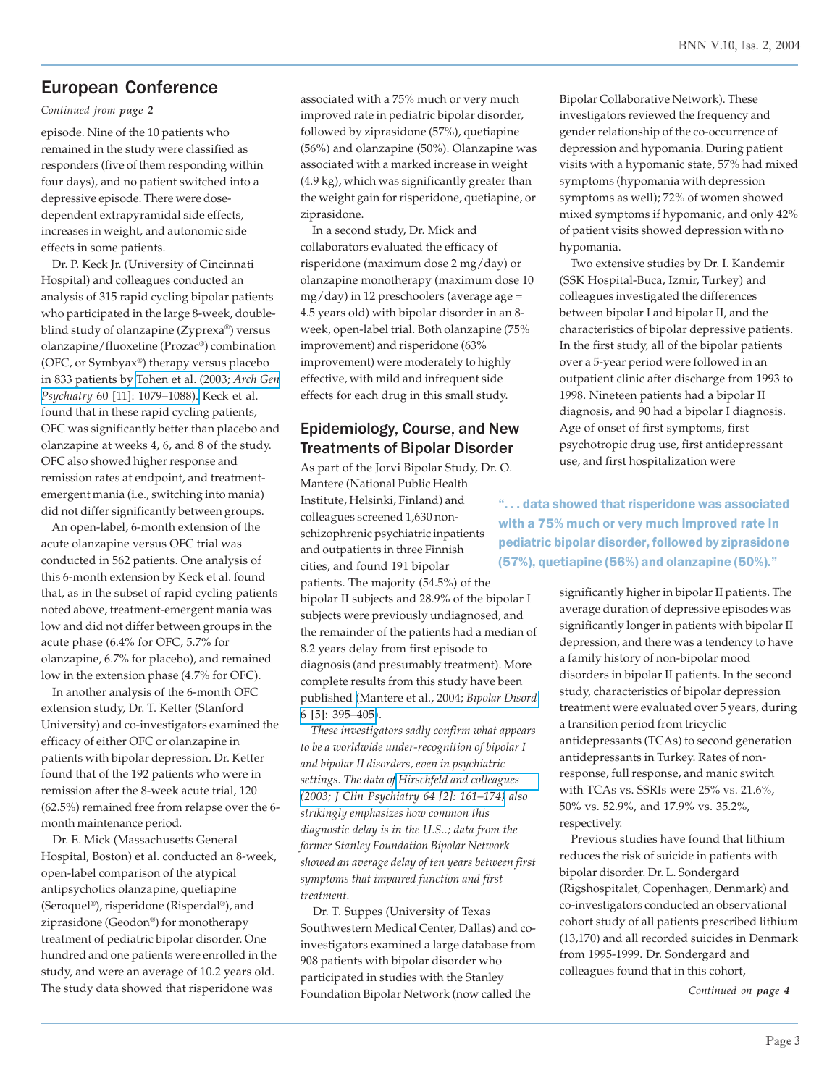# European Conference

*Continued from page 2*

episode. Nine of the 10 patients who remained in the study were classified as responders (five of them responding within four days), and no patient switched into a depressive episode. There were dosedependent extrapyramidal side effects, increases in weight, and autonomic side effects in some patients.

 Dr. P. Keck Jr. (University of Cincinnati Hospital) and colleagues conducted an analysis of 315 rapid cycling bipolar patients who participated in the large 8-week, doubleblind study of olanzapine (Zyprexa®) versus olanzapine/fluoxetine (Prozac®) combination (OFC, or Symbyax®) therapy versus placebo in 833 patients by [Tohen et al. \(2003;](http://www.ncbi.nlm.nih.gov/entrez/query.fcgi?cmd=Retrieve&db=pubmed&dopt=Abstract&list_uids=14609883&query_hl=17) *Arch Gen Psychiatry* [60 \[11\]: 1079–1088\).](http://www.ncbi.nlm.nih.gov/entrez/query.fcgi?cmd=Retrieve&db=pubmed&dopt=Abstract&list_uids=14609883&query_hl=17) Keck et al. found that in these rapid cycling patients, OFC was significantly better than placebo and olanzapine at weeks 4, 6, and 8 of the study. OFC also showed higher response and remission rates at endpoint, and treatmentemergent mania (i.e., switching into mania) did not differ significantly between groups.

 An open-label, 6-month extension of the acute olanzapine versus OFC trial was conducted in 562 patients. One analysis of this 6-month extension by Keck et al. found that, as in the subset of rapid cycling patients noted above, treatment-emergent mania was low and did not differ between groups in the acute phase (6.4% for OFC, 5.7% for olanzapine, 6.7% for placebo), and remained low in the extension phase (4.7% for OFC).

 In another analysis of the 6-month OFC extension study, Dr. T. Ketter (Stanford University) and co-investigators examined the efficacy of either OFC or olanzapine in patients with bipolar depression. Dr. Ketter found that of the 192 patients who were in remission after the 8-week acute trial, 120 (62.5%) remained free from relapse over the 6 month maintenance period.

 Dr. E. Mick (Massachusetts General Hospital, Boston) et al. conducted an 8-week, open-label comparison of the atypical antipsychotics olanzapine, quetiapine (Seroquel®), risperidone (Risperdal®), and ziprasidone (Geodon®) for monotherapy treatment of pediatric bipolar disorder. One hundred and one patients were enrolled in the study, and were an average of 10.2 years old. The study data showed that risperidone was

associated with a 75% much or very much improved rate in pediatric bipolar disorder, followed by ziprasidone (57%), quetiapine (56%) and olanzapine (50%). Olanzapine was associated with a marked increase in weight (4.9 kg), which was significantly greater than the weight gain for risperidone, quetiapine, or ziprasidone.

 In a second study, Dr. Mick and collaborators evaluated the efficacy of risperidone (maximum dose 2 mg/day) or olanzapine monotherapy (maximum dose 10  $mg/day)$  in 12 preschoolers (average age = 4.5 years old) with bipolar disorder in an 8 week, open-label trial. Both olanzapine (75% improvement) and risperidone (63% improvement) were moderately to highly effective, with mild and infrequent side effects for each drug in this small study.

# Epidemiology, Course, and New Treatments of Bipolar Disorder

As part of the Jorvi Bipolar Study, Dr. O. Mantere (National Public Health Institute, Helsinki, Finland) and colleagues screened 1,630 nonschizophrenic psychiatric inpatients and outpatients in three Finnish cities, and found 191 bipolar patients. The majority (54.5%) of the bipolar II subjects and 28.9% of the bipolar I subjects were previously undiagnosed, and the remainder of the patients had a median of 8.2 years delay from first episode to diagnosis (and presumably treatment). More complete results from this study have been published [\(Mantere et al., 2004;](http://www.ncbi.nlm.nih.gov/entrez/query.fcgi?cmd=Retrieve&db=pubmed&dopt=Abstract&list_uids=15383132&query_hl=19) *Bipolar Disord* [6 \[5\]: 395](http://www.ncbi.nlm.nih.gov/entrez/query.fcgi?cmd=Retrieve&db=pubmed&dopt=Abstract&list_uids=15383132&query_hl=19)*–*405).

 *These investigators sadly confirm what appears to be a worldwide under-recognition of bipolar I and bipolar II disorders, even in psychiatric settings. The data of [Hirschfeld and colleagues](http://www.ncbi.nlm.nih.gov/entrez/query.fcgi?cmd=Retrieve&db=pubmed&dopt=Abstract&list_uids=12633125&query_hl=21) [\(2003; J Clin Psychiatry 64 \[2\]: 161–174\)](http://www.ncbi.nlm.nih.gov/entrez/query.fcgi?cmd=Retrieve&db=pubmed&dopt=Abstract&list_uids=12633125&query_hl=21) also strikingly emphasizes how common this diagnostic delay is in the U.S..; data from the former Stanley Foundation Bipolar Network showed an average delay of ten years between first symptoms that impaired function and first treatment.*

 Dr. T. Suppes (University of Texas Southwestern Medical Center, Dallas) and coinvestigators examined a large database from 908 patients with bipolar disorder who participated in studies with the Stanley Foundation Bipolar Network (now called the

Bipolar Collaborative Network). These investigators reviewed the frequency and gender relationship of the co-occurrence of depression and hypomania. During patient visits with a hypomanic state, 57% had mixed symptoms (hypomania with depression symptoms as well); 72% of women showed mixed symptoms if hypomanic, and only 42% of patient visits showed depression with no hypomania.

 Two extensive studies by Dr. I. Kandemir (SSK Hospital-Buca, Izmir, Turkey) and colleagues investigated the differences between bipolar I and bipolar II, and the characteristics of bipolar depressive patients. In the first study, all of the bipolar patients over a 5-year period were followed in an outpatient clinic after discharge from 1993 to 1998. Nineteen patients had a bipolar II diagnosis, and 90 had a bipolar I diagnosis. Age of onset of first symptoms, first psychotropic drug use, first antidepressant use, and first hospitalization were

". . . data showed that risperidone was associated with a 75% much or very much improved rate in pediatric bipolar disorder, followed by ziprasidone (57%), quetiapine (56%) and olanzapine (50%)."

> significantly higher in bipolar II patients. The average duration of depressive episodes was significantly longer in patients with bipolar II depression, and there was a tendency to have a family history of non-bipolar mood disorders in bipolar II patients. In the second study, characteristics of bipolar depression treatment were evaluated over 5 years, during a transition period from tricyclic antidepressants (TCAs) to second generation antidepressants in Turkey. Rates of nonresponse, full response, and manic switch with TCAs vs. SSRIs were 25% vs. 21.6%, 50% vs. 52.9%, and 17.9% vs. 35.2%, respectively.

> Previous studies have found that lithium reduces the risk of suicide in patients with bipolar disorder. Dr. L. Sondergard (Rigshospitalet, Copenhagen, Denmark) and co-investigators conducted an observational cohort study of all patients prescribed lithium (13,170) and all recorded suicides in Denmark from 1995-1999. Dr. Sondergard and colleagues found that in this cohort,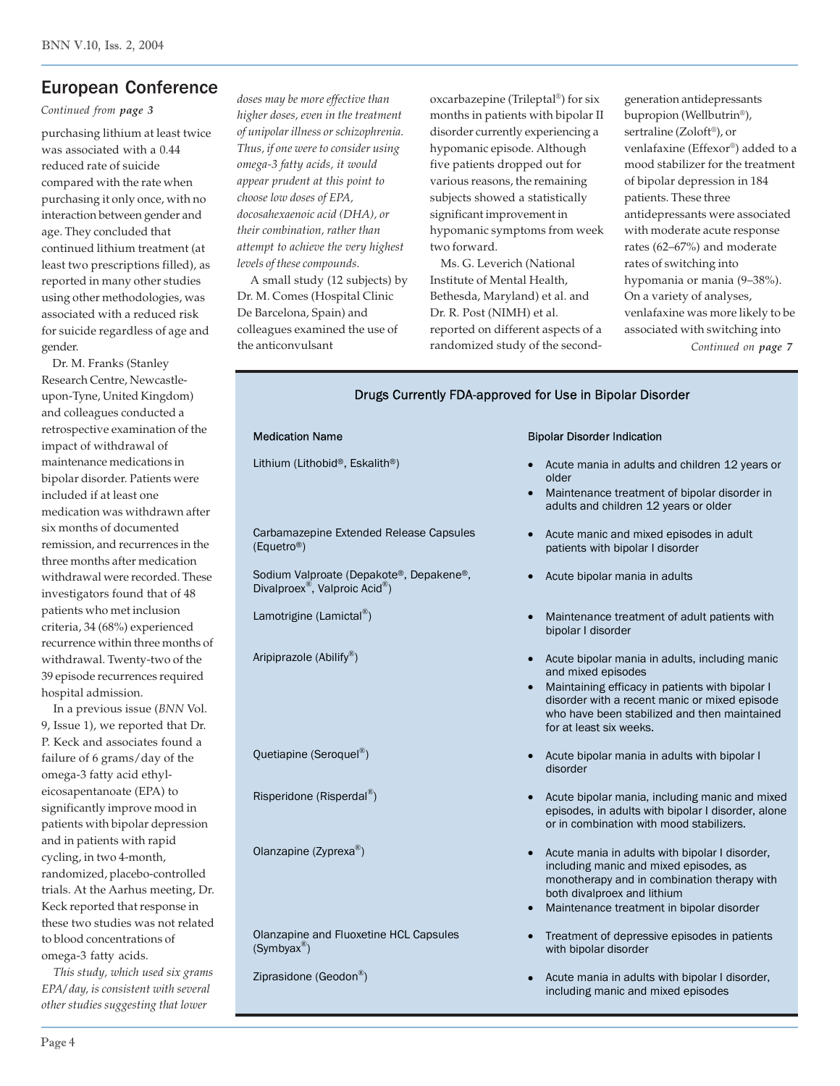# European Conference

*Continued from page 3*

purchasing lithium at least twice was associated with a 0.44 reduced rate of suicide compared with the rate when purchasing it only once, with no interaction between gender and age. They concluded that continued lithium treatment (at least two prescriptions filled), as reported in many other studies using other methodologies, was associated with a reduced risk for suicide regardless of age and gender.

 Dr. M. Franks (Stanley Research Centre, Newcastleupon-Tyne, United Kingdom) and colleagues conducted a retrospective examination of the impact of withdrawal of maintenance medications in bipolar disorder. Patients were included if at least one medication was withdrawn after six months of documented remission, and recurrences in the three months after medication withdrawal were recorded. These investigators found that of 48 patients who met inclusion criteria, 34 (68%) experienced recurrence within three months of withdrawal. Twenty-two of the 39 episode recurrences required hospital admission.

 In a previous issue (*BNN* Vol. 9, Issue 1), we reported that Dr. P. Keck and associates found a failure of 6 grams/day of the omega-3 fatty acid ethyleicosapentanoate (EPA) to significantly improve mood in patients with bipolar depression and in patients with rapid cycling, in two 4-month, randomized, placebo-controlled trials. At the Aarhus meeting, Dr. Keck reported that response in these two studies was not related to blood concentrations of omega-3 fatty acids.

 *This study, which used six grams EPA/ day, is consistent with several other studies suggesting that lower*

*doses may be more effective than higher doses, even in the treatment of unipolar illness or schizophrenia. Thus, if one were to consider using omega-3 fatty acids, it would appear prudent at this point to choose low doses of EPA, docosahexaenoic acid (DHA), or their combination, rather than attempt to achieve the very highest levels of these compounds.*

 A small study (12 subjects) by Dr. M. Comes (Hospital Clinic De Barcelona, Spain) and colleagues examined the use of the anticonvulsant

oxcarbazepine (Trileptal®) for six months in patients with bipolar II disorder currently experiencing a hypomanic episode. Although five patients dropped out for various reasons, the remaining subjects showed a statistically significant improvement in hypomanic symptoms from week two forward.

 Ms. G. Leverich (National Institute of Mental Health, Bethesda, Maryland) et al. and Dr. R. Post (NIMH) et al. reported on different aspects of a randomized study of the secondgeneration antidepressants bupropion (Wellbutrin®), sertraline (Zoloft®), or venlafaxine (Effexor®) added to a mood stabilizer for the treatment of bipolar depression in 184 patients. These three antidepressants were associated with moderate acute response rates (62–67%) and moderate rates of switching into hypomania or mania (9–38%). On a variety of analyses, venlafaxine was more likely to be associated with switching into *Continued on page 7*

| Drugs Currently FDA-approved for Use in Bipolar Disorder                                          |                                                                                                                                                                                                                                                     |  |  |
|---------------------------------------------------------------------------------------------------|-----------------------------------------------------------------------------------------------------------------------------------------------------------------------------------------------------------------------------------------------------|--|--|
| <b>Medication Name</b>                                                                            | <b>Bipolar Disorder Indication</b>                                                                                                                                                                                                                  |  |  |
| Lithium (Lithobid®, Eskalith®)                                                                    | Acute mania in adults and children 12 years or<br>older<br>Maintenance treatment of bipolar disorder in<br>$\bullet$<br>adults and children 12 years or older                                                                                       |  |  |
| Carbamazepine Extended Release Capsules<br>(Equetro <sup>®</sup> )                                | Acute manic and mixed episodes in adult<br>patients with bipolar I disorder                                                                                                                                                                         |  |  |
| Sodium Valproate (Depakote®, Depakene®,<br>Divalproex <sup>®</sup> , Valproic Acid <sup>®</sup> ) | Acute bipolar mania in adults                                                                                                                                                                                                                       |  |  |
| Lamotrigine (Lamictal®)                                                                           | Maintenance treatment of adult patients with<br>bipolar I disorder                                                                                                                                                                                  |  |  |
| Aripiprazole (Abilify®)                                                                           | Acute bipolar mania in adults, including manic<br>and mixed episodes<br>Maintaining efficacy in patients with bipolar I<br>disorder with a recent manic or mixed episode<br>who have been stabilized and then maintained<br>for at least six weeks. |  |  |
| Quetiapine (Seroquel®)                                                                            | Acute bipolar mania in adults with bipolar I<br>disorder                                                                                                                                                                                            |  |  |
| Risperidone (Risperdal <sup>®</sup> )                                                             | Acute bipolar mania, including manic and mixed<br>episodes, in adults with bipolar I disorder, alone<br>or in combination with mood stabilizers.                                                                                                    |  |  |
| Olanzapine (Zyprexa <sup>®</sup> )                                                                | Acute mania in adults with bipolar I disorder,<br>$\bullet$<br>including manic and mixed episodes, as<br>monotherapy and in combination therapy with<br>both divalproex and lithium<br>Maintenance treatment in bipolar disorder<br>$\bullet$       |  |  |
| Olanzapine and Fluoxetine HCL Capsules<br>$(Symbyax^{\circledR})$                                 | Treatment of depressive episodes in patients<br>with bipolar disorder                                                                                                                                                                               |  |  |
| Ziprasidone (Geodon®)                                                                             | Acute mania in adults with bipolar I disorder,                                                                                                                                                                                                      |  |  |

including manic and mixed episodes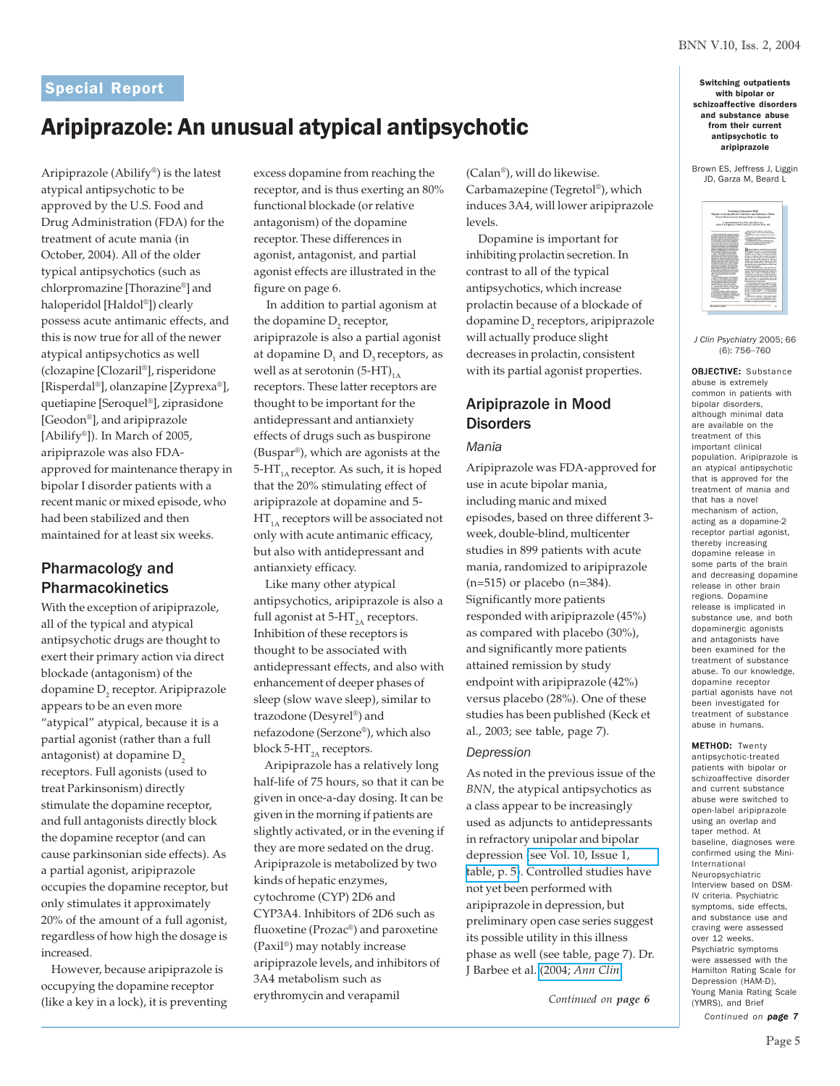# Aripiprazole: An unusual atypical antipsychotic

Aripiprazole (Abilify®) is the latest atypical antipsychotic to be approved by the U.S. Food and Drug Administration (FDA) for the treatment of acute mania (in October, 2004). All of the older typical antipsychotics (such as chlorpromazine [Thorazine®] and haloperidol [Haldol®]) clearly possess acute antimanic effects, and this is now true for all of the newer atypical antipsychotics as well (clozapine [Clozaril®], risperidone [Risperdal®], olanzapine [Zyprexa®], quetiapine [Seroquel®], ziprasidone [Geodon®], and aripiprazole [Abilify®]). In March of 2005, aripiprazole was also FDAapproved for maintenance therapy in bipolar I disorder patients with a recent manic or mixed episode, who had been stabilized and then maintained for at least six weeks.

# Pharmacology and Pharmacokinetics

With the exception of aripiprazole, all of the typical and atypical antipsychotic drugs are thought to exert their primary action via direct blockade (antagonism) of the dopamine  $D<sub>2</sub>$  receptor. Aripiprazole appears to be an even more "atypical" atypical, because it is a partial agonist (rather than a full antagonist) at dopamine D<sub>2</sub> receptors. Full agonists (used to treat Parkinsonism) directly stimulate the dopamine receptor, and full antagonists directly block the dopamine receptor (and can cause parkinsonian side effects). As a partial agonist, aripiprazole occupies the dopamine receptor, but only stimulates it approximately 20% of the amount of a full agonist, regardless of how high the dosage is increased.

 However, because aripiprazole is occupying the dopamine receptor (like a key in a lock), it is preventing

excess dopamine from reaching the receptor, and is thus exerting an 80% functional blockade (or relative antagonism) of the dopamine receptor. These differences in agonist, antagonist, and partial agonist effects are illustrated in the figure on page 6.

 In addition to partial agonism at the dopamine  $D_2$  receptor, aripiprazole is also a partial agonist at dopamine  $D<sub>1</sub>$  and  $D<sub>3</sub>$  receptors, as well as at serotonin  $(5-HT)_{1A}$ receptors. These latter receptors are thought to be important for the antidepressant and antianxiety effects of drugs such as buspirone (Buspar®), which are agonists at the 5-HT $_{14}$  receptor. As such, it is hoped that the 20% stimulating effect of aripiprazole at dopamine and 5-  $HT_{1A}$  receptors will be associated not only with acute antimanic efficacy, but also with antidepressant and antianxiety efficacy.

 Like many other atypical antipsychotics, aripiprazole is also a full agonist at  $5-HT<sub>2A</sub>$  receptors. Inhibition of these receptors is thought to be associated with antidepressant effects, and also with enhancement of deeper phases of sleep (slow wave sleep), similar to trazodone (Desyrel®) and nefazodone (Serzone®), which also block 5-HT $_{2A}$  receptors.

 Aripiprazole has a relatively long half-life of 75 hours, so that it can be given in once-a-day dosing. It can be given in the morning if patients are slightly activated, or in the evening if they are more sedated on the drug. Aripiprazole is metabolized by two kinds of hepatic enzymes, cytochrome (CYP) 2D6 and CYP3A4. Inhibitors of 2D6 such as fluoxetine (Prozac®) and paroxetine (Paxil®) may notably increase aripiprazole levels, and inhibitors of 3A4 metabolism such as erythromycin and verapamil

(Calan®), will do likewise. Carbamazepine (Tegretol®), which induces 3A4, will lower aripiprazole levels.

 Dopamine is important for inhibiting prolactin secretion. In contrast to all of the typical antipsychotics, which increase prolactin because of a blockade of dopamine  $\mathsf{D}_{\mathsf{2}}$  receptors, aripiprazole will actually produce slight decreases in prolactin, consistent with its partial agonist properties.

# Aripiprazole in Mood **Disorders**

# *Mania*

Aripiprazole was FDA-approved for use in acute bipolar mania, including manic and mixed episodes, based on three different 3 week, double-blind, multicenter studies in 899 patients with acute mania, randomized to aripiprazole (n=515) or placebo (n=384). Significantly more patients responded with aripiprazole (45%) as compared with placebo (30%), and significantly more patients attained remission by study endpoint with aripiprazole (42%) versus placebo (28%). One of these studies has been published (Keck et al., 2003; see table, page 7).

### *Depression*

As noted in the previous issue of the *BNN*, the atypical antipsychotics as a class appear to be increasingly used as adjuncts to antidepressants in refractory unipolar and bipolar depression [\(see Vol. 10, Issue 1,](http://www.bipolarnews.org/pdfs/BNNVol10Iss1.pdf) [table, p. 5\)](http://www.bipolarnews.org/pdfs/BNNVol10Iss1.pdf). Controlled studies have not yet been performed with aripiprazole in depression, but preliminary open case series suggest its possible utility in this illness phase as well (see table, page 7). Dr. J Barbee et al. (2004; *[Ann Clin](http://www.ncbi.nlm.nih.gov/entrez/query.fcgi?cmd=Retrieve&db=pubmed&dopt=Abstract&list_uids=15702566&query_hl=23)*

*Continued on page 6*

with bipolar or schizoaffective disorders and substance abuse from their current antipsychotic to aripiprazole

Brown ES, Jeffress J, Liggin JD, Garza M, Beard L



*J Clin Psychiatry* 2005; 66 (6): 756–760

OBJECTIVE: Substance abuse is extremely common in patients with bipolar disorders, although minimal data are available on the treatment of this important clinical population. Aripiprazole is an atypical antipsychotic that is approved for the treatment of mania and that has a novel mechanism of action, acting as a dopamine-2 receptor partial agonist, thereby increasing dopamine release in some parts of the brain and decreasing dopamine release in other brain regions. Dopamine release is implicated in substance use, and both dopaminergic agonists and antagonists have been examined for the treatment of substance abuse. To our knowledge, dopamine receptor partial agonists have not been investigated for treatment of substance abuse in humans.

METHOD: Twenty antipsychotic-treated patients with bipolar or schizoaffective disorder and current substance abuse were switched to open-label aripiprazole using an overlap and taper method. At baseline, diagnoses were confirmed using the Mini-International Neuropsychiatric Interview based on DSM-IV criteria. Psychiatric symptoms, side effects, and substance use and craving were assessed over 12 weeks. Psychiatric symptoms were assessed with the Hamilton Rating Scale for Depression (HAM-D), Young Mania Rating Scale (YMRS), and Brief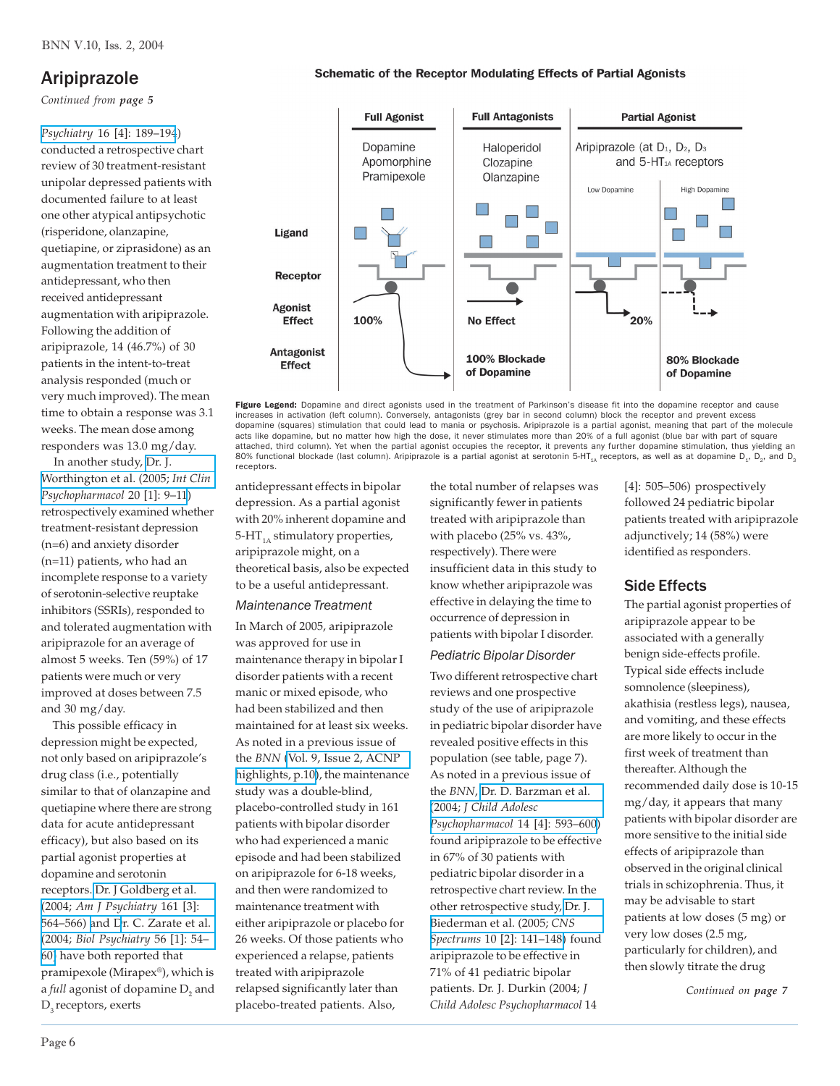# Aripiprazole

*Continued from page 5*

*Psychiatry* [16 \[4\]: 189–194](http://www.ncbi.nlm.nih.gov/entrez/query.fcgi?cmd=Retrieve&db=pubmed&dopt=Abstract&list_uids=15702566&query_hl=23)) conducted a retrospective chart review of 30 treatment-resistant unipolar depressed patients with documented failure to at least one other atypical antipsychotic (risperidone, olanzapine, quetiapine, or ziprasidone) as an augmentation treatment to their antidepressant, who then received antidepressant augmentation with aripiprazole. Following the addition of aripiprazole, 14 (46.7%) of 30 patients in the intent-to-treat analysis responded (much or very much improved). The mean time to obtain a response was 3.1 weeks. The mean dose among responders was 13.0 mg/day.

 In another study, [Dr. J.](http://www.ncbi.nlm.nih.gov/entrez/query.fcgi?cmd=Retrieve&db=pubmed&dopt=Abstract&list_uids=15602109&query_hl=25) [Worthington et al. \(2005;](http://www.ncbi.nlm.nih.gov/entrez/query.fcgi?cmd=Retrieve&db=pubmed&dopt=Abstract&list_uids=15602109&query_hl=25) *Int Clin [Psychopharmacol](http://www.ncbi.nlm.nih.gov/entrez/query.fcgi?cmd=Retrieve&db=pubmed&dopt=Abstract&list_uids=15602109&query_hl=25)* 20 [1]: 9–11) retrospectively examined whether treatment-resistant depression (n=6) and anxiety disorder (n=11) patients, who had an incomplete response to a variety of serotonin-selective reuptake inhibitors (SSRIs), responded to and tolerated augmentation with aripiprazole for an average of almost 5 weeks. Ten (59%) of 17 patients were much or very improved at doses between 7.5 and 30 mg/day.

 This possible efficacy in depression might be expected, not only based on aripiprazole's drug class (i.e., potentially similar to that of olanzapine and quetiapine where there are strong data for acute antidepressant efficacy), but also based on its partial agonist properties at dopamine and serotonin receptors. [Dr. J Goldberg et al.](http://www.ncbi.nlm.nih.gov/entrez/query.fcgi?cmd=Retrieve&db=pubmed&dopt=Abstract&list_uids=14992985&query_hl=27) (2004; *[Am J Psychiatry](http://www.ncbi.nlm.nih.gov/entrez/query.fcgi?cmd=Retrieve&db=pubmed&dopt=Abstract&list_uids=14992985&query_hl=27)* 161 [3]: [564–566\) a](http://www.ncbi.nlm.nih.gov/entrez/query.fcgi?cmd=Retrieve&db=pubmed&dopt=Abstract&list_uids=14992985&query_hl=27)nd [Dr. C. Zarate et al.](http://www.ncbi.nlm.nih.gov/entrez/query.fcgi?cmd=Retrieve&db=pubmed&dopt=Abstract&list_uids=15219473&query_hl=29) (2004; *[Biol Psychiatry](http://www.ncbi.nlm.nih.gov/entrez/query.fcgi?cmd=Retrieve&db=pubmed&dopt=Abstract&list_uids=15219473&query_hl=29)* 56 [1]: 54– [60\)](http://www.ncbi.nlm.nih.gov/entrez/query.fcgi?cmd=Retrieve&db=pubmed&dopt=Abstract&list_uids=15219473&query_hl=29) have both reported that pramipexole (Mirapex®), which is a *full* agonist of dopamine  $D_{\text{2}}$  and D<sub>2</sub> receptors, exerts





Figure Legend: Dopamine and direct agonists used in the treatment of Parkinson's disease fit into the dopamine receptor and cause increases in activation (left column). Conversely, antagonists (grey bar in second column) block the receptor and prevent excess dopamine (squares) stimulation that could lead to mania or psychosis. Aripiprazole is a partial agonist, meaning that part of the molecule acts like dopamine, but no matter how high the dose, it never stimulates more than 20% of a full agonist (blue bar with part of square attached, third column). Yet when the partial agonist occupies the receptor, it prevents any further dopamine stimulation, thus yielding an<br>80% functional blockade (last column). Aripiprazole is a partial agonist at seroto receptors.

antidepressant effects in bipolar depression. As a partial agonist with 20% inherent dopamine and 5-HT $_{14}$  stimulatory properties, aripiprazole might, on a theoretical basis, also be expected to be a useful antidepressant. *Maintenance Treatment*

In March of 2005, aripiprazole was approved for use in maintenance therapy in bipolar I disorder patients with a recent manic or mixed episode, who had been stabilized and then maintained for at least six weeks. As noted in a previous issue of the *BNN* [\(Vol. 9, Issue 2, ACNP](http://www.bipolarnews.org/pdfs/BNNVol9Iss2.pdf) [highlights, p.10\)](http://www.bipolarnews.org/pdfs/BNNVol9Iss2.pdf), the maintenance study was a double-blind, placebo-controlled study in 161 patients with bipolar disorder who had experienced a manic episode and had been stabilized on aripiprazole for 6-18 weeks, and then were randomized to maintenance treatment with either aripiprazole or placebo for 26 weeks. Of those patients who experienced a relapse, patients treated with aripiprazole relapsed significantly later than placebo-treated patients. Also,

the total number of relapses was significantly fewer in patients treated with aripiprazole than with placebo (25% vs. 43%, respectively). There were insufficient data in this study to know whether aripiprazole was effective in delaying the time to occurrence of depression in patients with bipolar I disorder. *Pediatric Bipolar Disorder*

Two different retrospective chart reviews and one prospective study of the use of aripiprazole in pediatric bipolar disorder have revealed positive effects in this population (see table, page 7). As noted in a previous issue of the *BNN*, [Dr. D. Barzman et al.](http://www.ncbi.nlm.nih.gov/entrez/query.fcgi?cmd=Retrieve&db=pubmed&dopt=Abstract&list_uids=15662152&query_hl=31) (2004; *[J Child Adolesc](http://www.ncbi.nlm.nih.gov/entrez/query.fcgi?cmd=Retrieve&db=pubmed&dopt=Abstract&list_uids=15662152&query_hl=31) Psychopharmacol* [14 \[4\]: 593–600](http://www.ncbi.nlm.nih.gov/entrez/query.fcgi?cmd=Retrieve&db=pubmed&dopt=Abstract&list_uids=15662152&query_hl=31)) found aripiprazole to be effective in 67% of 30 patients with pediatric bipolar disorder in a retrospective chart review. In the other retrospective study, [Dr. J.](http://www.ncbi.nlm.nih.gov/entrez/query.fcgi?cmd=Retrieve&db=pubmed&dopt=Abstract&list_uids=15685125&query_hl=33) [Biederman et al. \(2005;](http://www.ncbi.nlm.nih.gov/entrez/query.fcgi?cmd=Retrieve&db=pubmed&dopt=Abstract&list_uids=15685125&query_hl=33) *CNS Spectrums* [10 \[2\]: 141–148\)](http://www.ncbi.nlm.nih.gov/entrez/query.fcgi?cmd=Retrieve&db=pubmed&dopt=Abstract&list_uids=15685125&query_hl=33) found aripiprazole to be effective in 71% of 41 pediatric bipolar patients. Dr. J. Durkin (2004; *J Child Adolesc Psychopharmacol* 14

[4]: 505–506) prospectively followed 24 pediatric bipolar patients treated with aripiprazole adjunctively; 14 (58%) were identified as responders.

# Side Effects

The partial agonist properties of aripiprazole appear to be associated with a generally benign side-effects profile. Typical side effects include somnolence (sleepiness), akathisia (restless legs), nausea, and vomiting, and these effects are more likely to occur in the first week of treatment than thereafter. Although the recommended daily dose is 10-15 mg/day, it appears that many patients with bipolar disorder are more sensitive to the initial side effects of aripiprazole than observed in the original clinical trials in schizophrenia. Thus, it may be advisable to start patients at low doses (5 mg) or very low doses (2.5 mg, particularly for children), and then slowly titrate the drug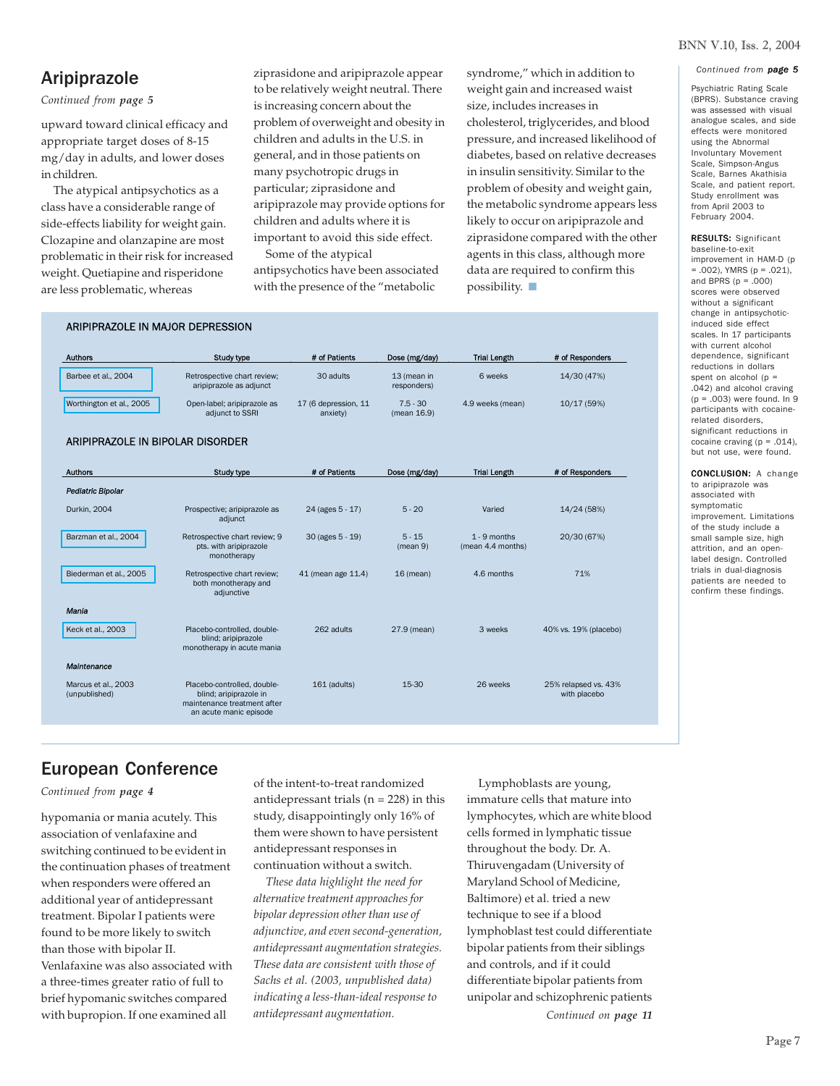### BNN V.10, Iss. 2, 2004

*Continued from page 5*

# Aripiprazole

### *Continued from page 5*

upward toward clinical efficacy and appropriate target doses of 8-15 mg/day in adults, and lower doses in children.

 The atypical antipsychotics as a class have a considerable range of side-effects liability for weight gain. Clozapine and olanzapine are most problematic in their risk for increased weight. Quetiapine and risperidone are less problematic, whereas

ARIPIPRAZOLE IN MAJOR DEPRESSION

ziprasidone and aripiprazole appear to be relatively weight neutral. There is increasing concern about the problem of overweight and obesity in children and adults in the U.S. in general, and in those patients on many psychotropic drugs in particular; ziprasidone and aripiprazole may provide options for children and adults where it is important to avoid this side effect.

 Some of the atypical antipsychotics have been associated with the presence of the "metabolic

syndrome," which in addition to weight gain and increased waist size, includes increases in cholesterol, triglycerides, and blood pressure, and increased likelihood of diabetes, based on relative decreases in insulin sensitivity. Similar to the problem of obesity and weight gain, the metabolic syndrome appears less likely to occur on aripiprazole and ziprasidone compared with the other agents in this class, although more data are required to confirm this possibility.  $\Box$ 

| <b>Authors</b>                   | <b>Study type</b>                                                                | # of Patients                    | Dose (mg/day)              | <b>Trial Length</b>                 | # of Responders       |
|----------------------------------|----------------------------------------------------------------------------------|----------------------------------|----------------------------|-------------------------------------|-----------------------|
| Barbee et al., 2004              | Retrospective chart review;<br>aripiprazole as adjunct                           | 30 adults                        | 13 (mean in<br>responders) | 6 weeks                             | 14/30 (47%)           |
| Worthington et al., 2005         | Open-label; aripiprazole as<br>adjunct to SSRI                                   | 17 (6 depression, 11<br>anxiety) | $7.5 - 30$<br>(mean 16.9)  | 4.9 weeks (mean)                    | 10/17 (59%)           |
| ARIPIPRAZOLE IN BIPOLAR DISORDER |                                                                                  |                                  |                            |                                     |                       |
| <b>Authors</b>                   | <b>Study type</b>                                                                | # of Patients                    | Dose (mg/day)              | <b>Trial Length</b>                 | # of Responders       |
| Pediatric Bipolar                |                                                                                  |                                  |                            |                                     |                       |
| Durkin, 2004                     | Prospective; aripiprazole as<br>adjunct                                          | 24 (ages 5 - 17)                 | $5 - 20$                   | Varied                              | 14/24 (58%)           |
| Barzman et al., 2004             | Retrospective chart review; 9<br>pts. with aripiprazole<br>monotherapy           | 30 (ages 5 - 19)                 | $5 - 15$<br>(mean 9)       | $1 - 9$ months<br>(mean 4.4 months) | 20/30 (67%)           |
| Biederman et al., 2005           | Retrospective chart review;<br>both monotherapy and<br>adjunctive                | 41 (mean age 11.4)               | $16$ (mean)                | 4.6 months                          | 71%                   |
| Mania                            |                                                                                  |                                  |                            |                                     |                       |
| Keck et al., 2003                | Placebo-controlled, double-<br>blind; aripiprazole<br>monotherapy in acute mania | 262 adults                       | 27.9 (mean)                | 3 weeks                             | 40% vs. 19% (placebo) |
| Maintenance                      |                                                                                  |                                  |                            |                                     |                       |

European Conference

Placebo-controlled, doubleblind; aripiprazole in maintenance treatment after an acute manic episode

*Continued from page 4*

Marcus et al., 2003 (unpublished)

hypomania or mania acutely. This association of venlafaxine and switching continued to be evident in the continuation phases of treatment when responders were offered an additional year of antidepressant treatment. Bipolar I patients were found to be more likely to switch than those with bipolar II. Venlafaxine was also associated with a three-times greater ratio of full to brief hypomanic switches compared with bupropion. If one examined all

of the intent-to-treat randomized antidepressant trials ( $n = 228$ ) in this study, disappointingly only 16% of them were shown to have persistent antidepressant responses in continuation without a switch.

 *These data highlight the need for alternative treatment approaches for bipolar depression other than use of adjunctive, and even second-generation, antidepressant augmentation strategies. These data are consistent with those of Sachs et al. (2003, unpublished data) indicating a less-than-ideal response to antidepressant augmentation.*

 Lymphoblasts are young, immature cells that mature into lymphocytes, which are white blood cells formed in lymphatic tissue throughout the body. Dr. A. Thiruvengadam (University of Maryland School of Medicine, Baltimore) et al. tried a new technique to see if a blood lymphoblast test could differentiate bipolar patients from their siblings and controls, and if it could differentiate bipolar patients from unipolar and schizophrenic patients *Continued on page 11*

with placebo

161 (adults) 15-30 26 weeks 25% relapsed vs. 43%

Psychiatric Rating Scale (BPRS). Substance craving was assessed with visual analogue scales, and side effects were monitored using the Abnormal Involuntary Movement Scale, Simpson-Angus Scale, Barnes Akathisia Scale, and patient report. Study enrollment was from April 2003 to February 2004.

RESULTS: Significant baseline-to-exit improvement in HAM-D (p = .002), YMRS (p = .021), and BPRS  $(p = .000)$ scores were observed without a significant change in antipsychoticinduced side effect scales. In 17 participants with current alcohol dependence, significant reductions in dollars spent on alcohol ( $p =$ .042) and alcohol craving (p = .003) were found. In 9 participants with cocainerelated disorders, significant reductions in cocaine craving  $(p = .014)$ , but not use, were found.

CONCLUSION: A change to aripiprazole was associated with symptomatic improvement. Limitations of the study include a small sample size, high attrition, and an openlabel design. Controlled trials in dual-diagnosis patients are needed to confirm these findings.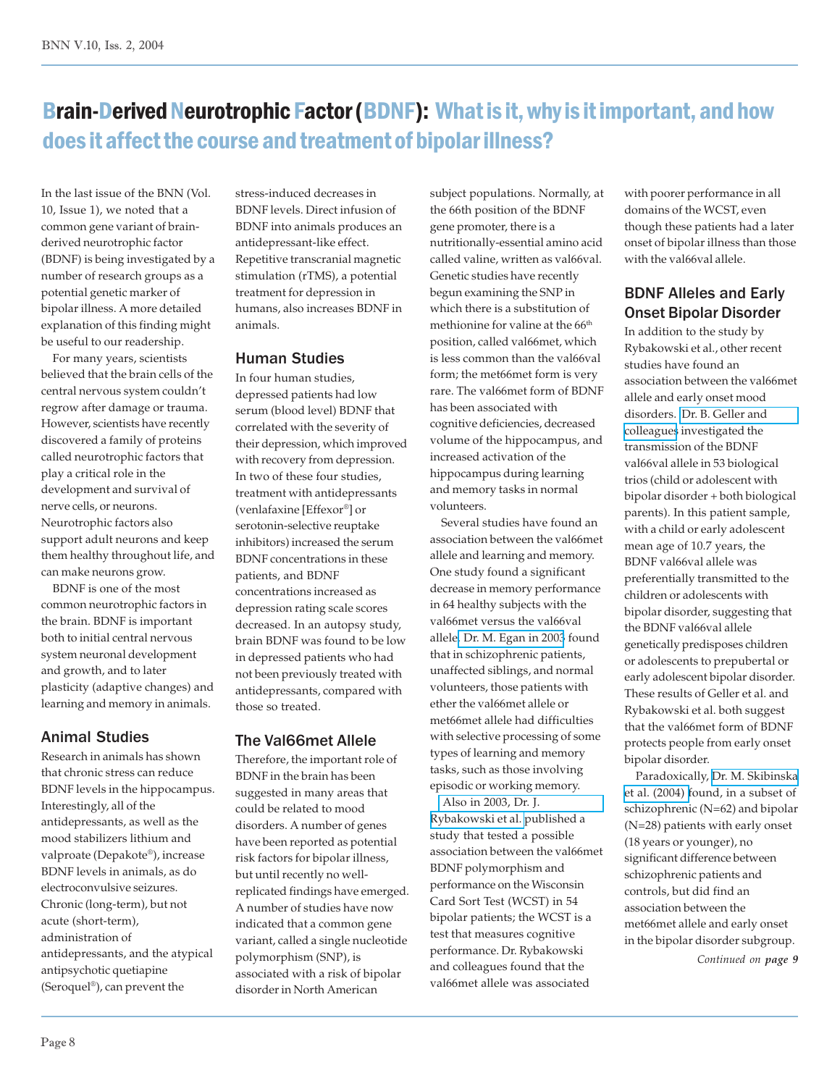# Brain-Derived Neurotrophic Factor (BDNF): What is it, why is it important, and how does it affect the course and treatment of bipolar illness?

In the last issue of the BNN (Vol. 10, Issue 1), we noted that a common gene variant of brainderived neurotrophic factor (BDNF) is being investigated by a number of research groups as a potential genetic marker of bipolar illness. A more detailed explanation of this finding might be useful to our readership.

 For many years, scientists believed that the brain cells of the central nervous system couldn't regrow after damage or trauma. However, scientists have recently discovered a family of proteins called neurotrophic factors that play a critical role in the development and survival of nerve cells, or neurons. Neurotrophic factors also support adult neurons and keep them healthy throughout life, and can make neurons grow.

 BDNF is one of the most common neurotrophic factors in the brain. BDNF is important both to initial central nervous system neuronal development and growth, and to later plasticity (adaptive changes) and learning and memory in animals.

# Animal Studies

Research in animals has shown that chronic stress can reduce BDNF levels in the hippocampus. Interestingly, all of the antidepressants, as well as the mood stabilizers lithium and valproate (Depakote®), increase BDNF levels in animals, as do electroconvulsive seizures. Chronic (long-term), but not acute (short-term), administration of antidepressants, and the atypical antipsychotic quetiapine (Seroquel®), can prevent the

stress-induced decreases in BDNF levels. Direct infusion of BDNF into animals produces an antidepressant-like effect. Repetitive transcranial magnetic stimulation (rTMS), a potential treatment for depression in humans, also increases BDNF in animals.

# Human Studies

In four human studies, depressed patients had low serum (blood level) BDNF that correlated with the severity of their depression, which improved with recovery from depression. In two of these four studies, treatment with antidepressants (venlafaxine [Effexor®] or serotonin-selective reuptake inhibitors) increased the serum BDNF concentrations in these patients, and BDNF concentrations increased as depression rating scale scores decreased. In an autopsy study, brain BDNF was found to be low in depressed patients who had not been previously treated with antidepressants, compared with those so treated.

# The Val66met Allele

Therefore, the important role of BDNF in the brain has been suggested in many areas that could be related to mood disorders. A number of genes have been reported as potential risk factors for bipolar illness, but until recently no wellreplicated findings have emerged. A number of studies have now indicated that a common gene variant, called a single nucleotide polymorphism (SNP), is associated with a risk of bipolar disorder in North American

subject populations. Normally, at the 66th position of the BDNF gene promoter, there is a nutritionally-essential amino acid called valine, written as val66val. Genetic studies have recently begun examining the SNP in which there is a substitution of methionine for valine at the 66<sup>th</sup> position, called val66met, which is less common than the val66val form; the met66met form is very rare. The val66met form of BDNF has been associated with cognitive deficiencies, decreased volume of the hippocampus, and increased activation of the hippocampus during learning and memory tasks in normal volunteers.

 Several studies have found an association between the val66met allele and learning and memory. One study found a significant decrease in memory performance in 64 healthy subjects with the val66met versus the val66val allele[. Dr. M. Egan in 2003](http://www.ncbi.nlm.nih.gov/entrez/query.fcgi?cmd=Retrieve&db=pubmed&dopt=Abstract&list_uids=12553913&query_hl=40) found that in schizophrenic patients, unaffected siblings, and normal volunteers, those patients with ether the val66met allele or met66met allele had difficulties with selective processing of some types of learning and memory tasks, such as those involving episodic or working memory.

 [Also in 2003, Dr. J.](http://www.ncbi.nlm.nih.gov/entrez/query.fcgi?cmd=Retrieve&db=pubmed&dopt=Abstract&list_uids=14636373&query_hl=42) [Rybakowski et al.](http://www.ncbi.nlm.nih.gov/entrez/query.fcgi?cmd=Retrieve&db=pubmed&dopt=Abstract&list_uids=14636373&query_hl=42) published a study that tested a possible association between the val66met BDNF polymorphism and performance on the Wisconsin Card Sort Test (WCST) in 54 bipolar patients; the WCST is a test that measures cognitive performance. Dr. Rybakowski and colleagues found that the val66met allele was associated

with poorer performance in all domains of the WCST, even though these patients had a later onset of bipolar illness than those with the val66val allele.

# BDNF Alleles and Early Onset Bipolar Disorder

In addition to the study by Rybakowski et al., other recent studies have found an association between the val66met allele and early onset mood disorders. [Dr. B. Geller and](http://www.ncbi.nlm.nih.gov/entrez/query.fcgi?cmd=Retrieve&db=pubmed&dopt=Abstract&list_uids=15337662&query_hl=44) [colleagues](http://www.ncbi.nlm.nih.gov/entrez/query.fcgi?cmd=Retrieve&db=pubmed&dopt=Abstract&list_uids=15337662&query_hl=44) investigated the transmission of the BDNF val66val allele in 53 biological trios (child or adolescent with bipolar disorder + both biological parents). In this patient sample, with a child or early adolescent mean age of 10.7 years, the BDNF val66val allele was preferentially transmitted to the children or adolescents with bipolar disorder, suggesting that the BDNF val66val allele genetically predisposes children or adolescents to prepubertal or early adolescent bipolar disorder. These results of Geller et al. and Rybakowski et al. both suggest that the val66met form of BDNF protects people from early onset bipolar disorder.

 Paradoxically, [Dr. M. Skibinska](http://www.ncbi.nlm.nih.gov/entrez/query.fcgi?cmd=Retrieve&db=pubmed&dopt=Abstract&list_uids=15543516&query_hl=46) [et al. \(2004\) f](http://www.ncbi.nlm.nih.gov/entrez/query.fcgi?cmd=Retrieve&db=pubmed&dopt=Abstract&list_uids=15543516&query_hl=46)ound, in a subset of schizophrenic (N=62) and bipolar (N=28) patients with early onset (18 years or younger), no significant difference between schizophrenic patients and controls, but did find an association between the met66met allele and early onset in the bipolar disorder subgroup.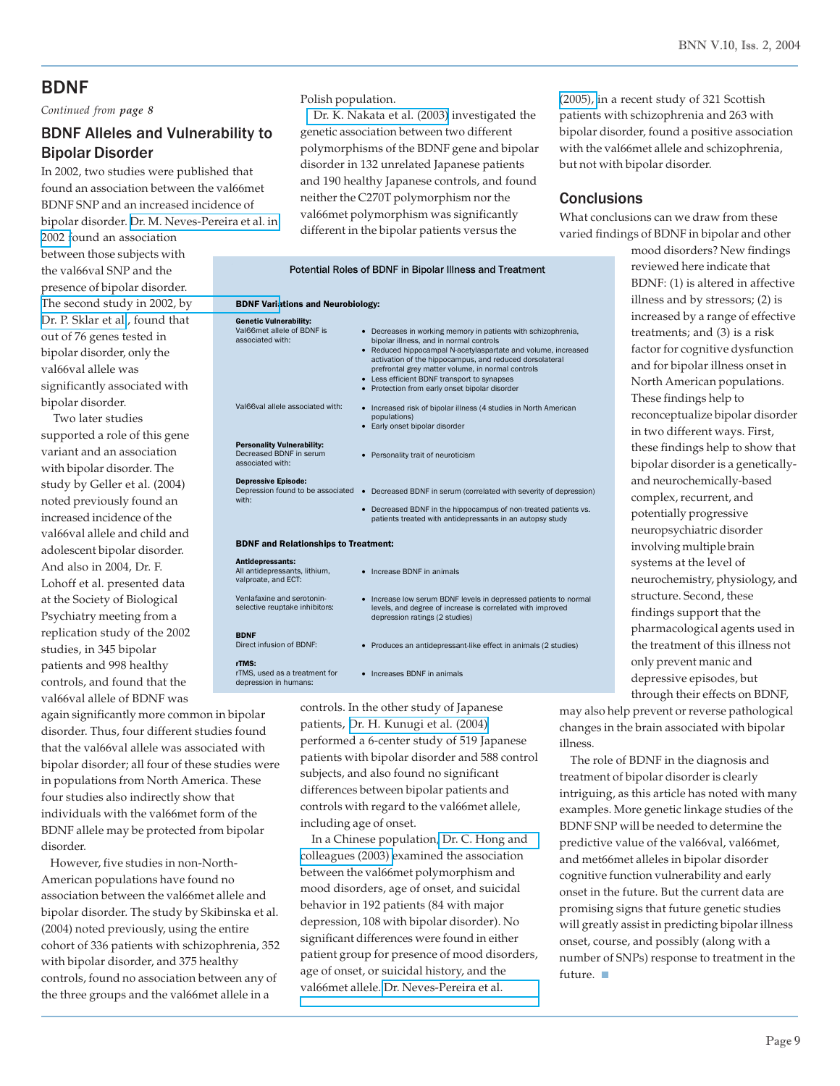# BDNF

*Continued from page 8*

# BDNF Alleles and Vulnerability to Bipolar Disorder

In 2002, two studies were published that found an association between the val66met BDNF SNP and an increased incidence of bipolar disorder. [Dr. M. Neves-Pereira et al. in](http://www.ncbi.nlm.nih.gov/entrez/query.fcgi?cmd=Retrieve&db=pubmed&dopt=Abstract&list_uids=12161822&query_hl=48)

[2002 f](http://www.ncbi.nlm.nih.gov/entrez/query.fcgi?cmd=Retrieve&db=pubmed&dopt=Abstract&list_uids=12161822&query_hl=48)ound an association between those subjects with the val66val SNP and the presence of bipolar disorder. [The second study in 2002, by](http://www.ncbi.nlm.nih.gov/entrez/query.fcgi?cmd=Retrieve&db=pubmed&dopt=Abstract&list_uids=12140781&query_hl=50) [Dr. P. Sklar et al.](http://www.ncbi.nlm.nih.gov/entrez/query.fcgi?cmd=Retrieve&db=pubmed&dopt=Abstract&list_uids=12140781&query_hl=50), found that out of 76 genes tested in bipolar disorder, only the val66val allele was significantly associated with bipolar disorder.

 Two later studies supported a role of this gene variant and an association with bipolar disorder. The study by Geller et al. (2004) noted previously found an increased incidence of the val66val allele and child and adolescent bipolar disorder. And also in 2004, Dr. F. Lohoff et al. presented data at the Society of Biological Psychiatry meeting from a replication study of the 2002 studies, in 345 bipolar patients and 998 healthy controls, and found that the val66val allele of BDNF was

again significantly more common in bipolar disorder. Thus, four different studies found that the val66val allele was associated with bipolar disorder; all four of these studies were in populations from North America. These four studies also indirectly show that individuals with the val66met form of the BDNF allele may be protected from bipolar disorder.

 However, five studies in non-North-American populations have found no association between the val66met allele and bipolar disorder. The study by Skibinska et al. (2004) noted previously, using the entire cohort of 336 patients with schizophrenia, 352 with bipolar disorder, and 375 healthy controls, found no association between any of the three groups and the val66met allele in a

### Polish population.

 [Dr. K. Nakata et al. \(2003\)](http://www.ncbi.nlm.nih.gov/entrez/query.fcgi?cmd=Retrieve&db=pubmed&dopt=Abstract&list_uids=12524161&query_hl=54) investigated the genetic association between two different polymorphisms of the BDNF gene and bipolar disorder in 132 unrelated Japanese patients and 190 healthy Japanese controls, and found neither the C270T polymorphism nor the val66met polymorphism was significantly different in the bipolar patients versus the

|                                                                                  | Potential Roles of BDNF in Bipolar Illness and Treatment                                                                                                                                                                                                                                                                                                                                   |  |  |  |  |
|----------------------------------------------------------------------------------|--------------------------------------------------------------------------------------------------------------------------------------------------------------------------------------------------------------------------------------------------------------------------------------------------------------------------------------------------------------------------------------------|--|--|--|--|
| <b>BDNF Variations and Neurobiology:</b>                                         |                                                                                                                                                                                                                                                                                                                                                                                            |  |  |  |  |
| <b>Genetic Vulnerability:</b><br>Val66met allele of BDNF is<br>associated with:  | • Decreases in working memory in patients with schizophrenia,<br>bipolar illness, and in normal controls<br>• Reduced hippocampal N-acetylaspartate and volume, increased<br>activation of the hippocampus, and reduced dorsolateral<br>prefrontal grey matter volume, in normal controls<br>• Less efficient BDNF transport to synapses<br>• Protection from early onset bipolar disorder |  |  |  |  |
| Val66val allele associated with:                                                 | • Increased risk of bipolar illness (4 studies in North American<br>populations)<br>• Early onset bipolar disorder                                                                                                                                                                                                                                                                         |  |  |  |  |
| <b>Personality Vulnerability:</b><br>Decreased BDNF in serum<br>associated with: | • Personality trait of neuroticism                                                                                                                                                                                                                                                                                                                                                         |  |  |  |  |
| <b>Depressive Episode:</b><br>Depression found to be associated<br>with:         | • Decreased BDNF in serum (correlated with severity of depression)<br>• Decreased BDNF in the hippocampus of non-treated patients vs.<br>patients treated with antidepressants in an autopsy study                                                                                                                                                                                         |  |  |  |  |
| <b>BDNF and Relationships to Treatment:</b>                                      |                                                                                                                                                                                                                                                                                                                                                                                            |  |  |  |  |
| Antidepressants:<br>All antidepressants, lithium,<br>valproate, and ECT:         | • Increase BDNF in animals                                                                                                                                                                                                                                                                                                                                                                 |  |  |  |  |
| Venlafaxine and serotonin-<br>selective reuptake inhibitors:                     | • Increase low serum BDNF levels in depressed patients to normal<br>levels, and degree of increase is correlated with improved<br>depression ratings (2 studies)                                                                                                                                                                                                                           |  |  |  |  |
| <b>BDNF</b><br>Direct infusion of BDNF:                                          | • Produces an antidepressant-like effect in animals (2 studies)                                                                                                                                                                                                                                                                                                                            |  |  |  |  |
| rTMS:<br>rTMS, used as a treatment for<br>depression in humans:                  | Increases BDNF in animals                                                                                                                                                                                                                                                                                                                                                                  |  |  |  |  |

controls. In the other study of Japanese patients, [Dr. H. Kunugi et al. \(2004\)](http://www.ncbi.nlm.nih.gov/entrez/query.fcgi?cmd=Retrieve&db=pubmed&dopt=Abstract&list_uids=15336520&query_hl=56) performed a 6-center study of 519 Japanese patients with bipolar disorder and 588 control subjects, and also found no significant differences between bipolar patients and controls with regard to the val66met allele, including age of onset.

 In a Chinese population[, Dr. C. Hong and](http://www.ncbi.nlm.nih.gov/entrez/query.fcgi?cmd=Retrieve&db=pubmed&dopt=Abstract&list_uids=14673216&query_hl=58) [colleagues \(2003\)](http://www.ncbi.nlm.nih.gov/entrez/query.fcgi?cmd=Retrieve&db=pubmed&dopt=Abstract&list_uids=14673216&query_hl=58) examined the association between the val66met polymorphism and mood disorders, age of onset, and suicidal behavior in 192 patients (84 with major depression, 108 with bipolar disorder). No significant differences were found in either patient group for presence of mood disorders, age of onset, or suicidal history, and the val66met allele. [Dr. Neves-Pereira et al.](http://www.ncbi.nlm.nih.gov/entrez/query.fcgi?cmd=Retrieve&db=pubmed&dopt=Abstract&list_uids=15630410&query_hl=60)

[\(2005\),](http://www.ncbi.nlm.nih.gov/entrez/query.fcgi?cmd=Retrieve&db=pubmed&dopt=Abstract&list_uids=15630410&query_hl=60) in a recent study of 321 Scottish patients with schizophrenia and 263 with bipolar disorder, found a positive association with the val66met allele and schizophrenia, but not with bipolar disorder.

# **Conclusions**

What conclusions can we draw from these varied findings of BDNF in bipolar and other

> mood disorders? New findings reviewed here indicate that BDNF: (1) is altered in affective illness and by stressors; (2) is increased by a range of effective treatments; and (3) is a risk factor for cognitive dysfunction and for bipolar illness onset in North American populations. These findings help to reconceptualize bipolar disorder in two different ways. First, these findings help to show that bipolar disorder is a geneticallyand neurochemically-based complex, recurrent, and potentially progressive neuropsychiatric disorder involving multiple brain systems at the level of neurochemistry, physiology, and structure. Second, these findings support that the pharmacological agents used in the treatment of this illness not only prevent manic and depressive episodes, but through their effects on BDNF,

may also help prevent or reverse pathological changes in the brain associated with bipolar illness.

 The role of BDNF in the diagnosis and treatment of bipolar disorder is clearly intriguing, as this article has noted with many examples. More genetic linkage studies of the BDNF SNP will be needed to determine the predictive value of the val66val, val66met, and met66met alleles in bipolar disorder cognitive function vulnerability and early onset in the future. But the current data are promising signs that future genetic studies will greatly assist in predicting bipolar illness onset, course, and possibly (along with a number of SNPs) response to treatment in the future. ■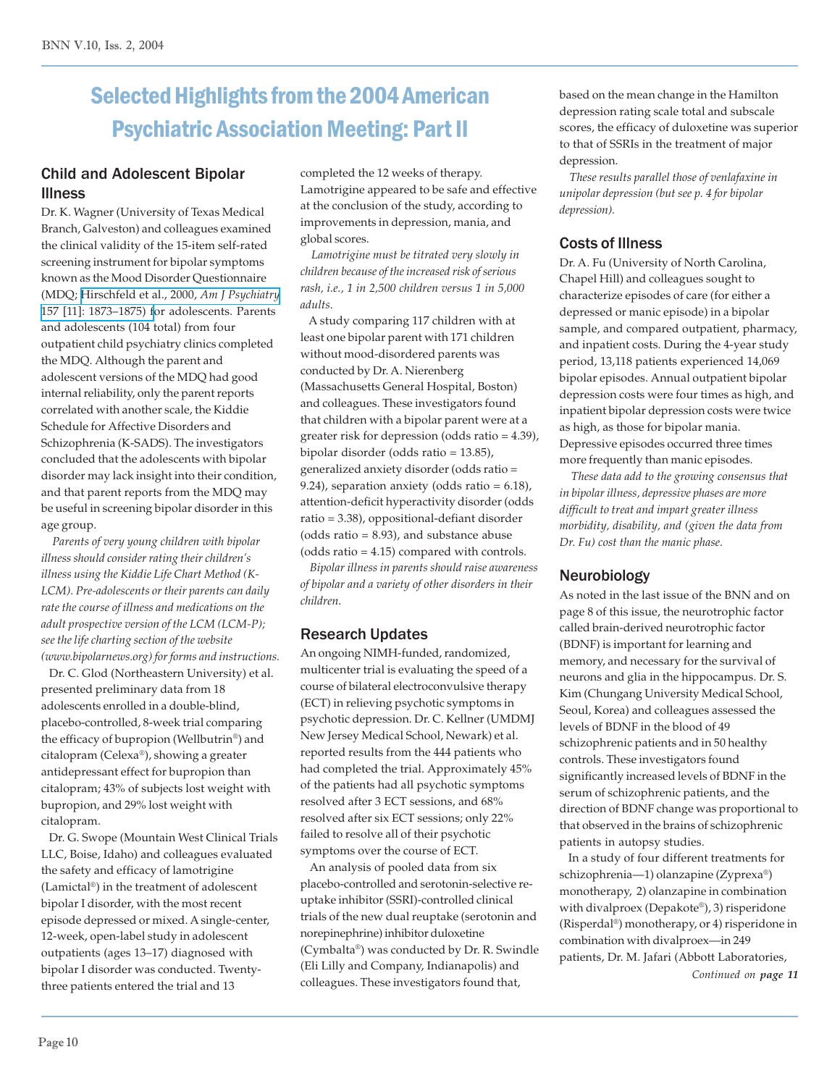# Selected Highlights from the 2004 American Psychiatric Association Meeting: Part II

# Child and Adolescent Bipolar Illness

Dr. K. Wagner (University of Texas Medical Branch, Galveston) and colleagues examined the clinical validity of the 15-item self-rated screening instrument for bipolar symptoms known as the Mood Disorder Questionnaire (MDQ; [Hirschfeld et al., 2000,](http://www.ncbi.nlm.nih.gov/entrez/query.fcgi?cmd=Retrieve&db=pubmed&dopt=Abstract&list_uids=11058490&query_hl=62) *Am J Psychiatry* [157 \[11\]: 1873–1875\) f](http://www.ncbi.nlm.nih.gov/entrez/query.fcgi?cmd=Retrieve&db=pubmed&dopt=Abstract&list_uids=11058490&query_hl=62)or adolescents. Parents and adolescents (104 total) from four outpatient child psychiatry clinics completed the MDQ. Although the parent and adolescent versions of the MDQ had good internal reliability, only the parent reports correlated with another scale, the Kiddie Schedule for Affective Disorders and Schizophrenia (K-SADS). The investigators concluded that the adolescents with bipolar disorder may lack insight into their condition, and that parent reports from the MDQ may be useful in screening bipolar disorder in this age group.

 *Parents of very young children with bipolar illness should consider rating their children's illness using the Kiddie Life Chart Method (K-LCM). Pre-adolescents or their parents can daily rate the course of illness and medications on the adult prospective version of the LCM (LCM-P); see the life charting section of the website (www.bipolarnews.org) for forms and instructions.*

 Dr. C. Glod (Northeastern University) et al. presented preliminary data from 18 adolescents enrolled in a double-blind, placebo-controlled, 8-week trial comparing the efficacy of bupropion (Wellbutrin®) and citalopram (Celexa®), showing a greater antidepressant effect for bupropion than citalopram; 43% of subjects lost weight with bupropion, and 29% lost weight with citalopram.

 Dr. G. Swope (Mountain West Clinical Trials LLC, Boise, Idaho) and colleagues evaluated the safety and efficacy of lamotrigine (Lamictal®) in the treatment of adolescent bipolar I disorder, with the most recent episode depressed or mixed. A single-center, 12-week, open-label study in adolescent outpatients (ages 13–17) diagnosed with bipolar I disorder was conducted. Twentythree patients entered the trial and 13

completed the 12 weeks of therapy. Lamotrigine appeared to be safe and effective at the conclusion of the study, according to improvements in depression, mania, and global scores.

 *Lamotrigine must be titrated very slowly in children because of the increased risk of serious rash, i.e., 1 in 2,500 children versus 1 in 5,000 adults.*

 A study comparing 117 children with at least one bipolar parent with 171 children without mood-disordered parents was conducted by Dr. A. Nierenberg (Massachusetts General Hospital, Boston) and colleagues. These investigators found that children with a bipolar parent were at a greater risk for depression (odds ratio = 4.39), bipolar disorder (odds ratio = 13.85), generalized anxiety disorder (odds ratio = 9.24), separation anxiety (odds ratio = 6.18), attention-deficit hyperactivity disorder (odds ratio = 3.38), oppositional-defiant disorder (odds ratio = 8.93), and substance abuse (odds ratio = 4.15) compared with controls.

 *Bipolar illness in parents should raise awareness of bipolar and a variety of other disorders in their children.*

# Research Updates

An ongoing NIMH-funded, randomized, multicenter trial is evaluating the speed of a course of bilateral electroconvulsive therapy (ECT) in relieving psychotic symptoms in psychotic depression. Dr. C. Kellner (UMDMJ New Jersey Medical School, Newark) et al. reported results from the 444 patients who had completed the trial. Approximately 45% of the patients had all psychotic symptoms resolved after 3 ECT sessions, and 68% resolved after six ECT sessions; only 22% failed to resolve all of their psychotic symptoms over the course of ECT.

 An analysis of pooled data from six placebo-controlled and serotonin-selective reuptake inhibitor (SSRI)-controlled clinical trials of the new dual reuptake (serotonin and norepinephrine) inhibitor duloxetine (Cymbalta®) was conducted by Dr. R. Swindle (Eli Lilly and Company, Indianapolis) and colleagues. These investigators found that,

based on the mean change in the Hamilton depression rating scale total and subscale scores, the efficacy of duloxetine was superior to that of SSRIs in the treatment of major depression.

 *These results parallel those of venlafaxine in unipolar depression (but see p. 4 for bipolar depression).*

# Costs of Illness

Dr. A. Fu (University of North Carolina, Chapel Hill) and colleagues sought to characterize episodes of care (for either a depressed or manic episode) in a bipolar sample, and compared outpatient, pharmacy, and inpatient costs. During the 4-year study period, 13,118 patients experienced 14,069 bipolar episodes. Annual outpatient bipolar depression costs were four times as high, and inpatient bipolar depression costs were twice as high, as those for bipolar mania. Depressive episodes occurred three times more frequently than manic episodes.

 *These data add to the growing consensus that in bipolar illness, depressive phases are more difficult to treat and impart greater illness morbidity, disability, and (given the data from Dr. Fu) cost than the manic phase.*

# Neurobiology

As noted in the last issue of the BNN and on page 8 of this issue, the neurotrophic factor called brain-derived neurotrophic factor (BDNF) is important for learning and memory, and necessary for the survival of neurons and glia in the hippocampus. Dr. S. Kim (Chungang University Medical School, Seoul, Korea) and colleagues assessed the levels of BDNF in the blood of 49 schizophrenic patients and in 50 healthy controls. These investigators found significantly increased levels of BDNF in the serum of schizophrenic patients, and the direction of BDNF change was proportional to that observed in the brains of schizophrenic patients in autopsy studies.

 In a study of four different treatments for schizophrenia—1) olanzapine (Zyprexa®) monotherapy, 2) olanzapine in combination with divalproex (Depakote®), 3) risperidone (Risperdal®) monotherapy, or 4) risperidone in combination with divalproex—in 249 patients, Dr. M. Jafari (Abbott Laboratories,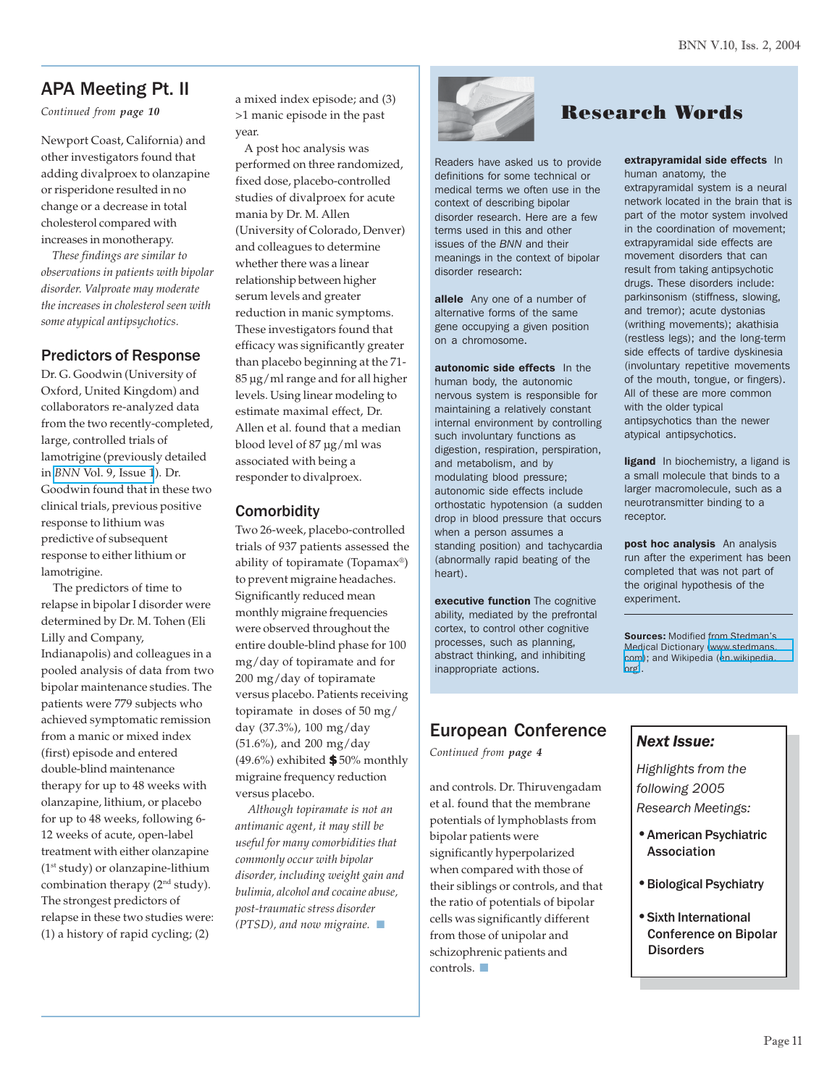# APA Meeting Pt. II

*Continued from page 10*

Newport Coast, California) and other investigators found that adding divalproex to olanzapine or risperidone resulted in no change or a decrease in total cholesterol compared with increases in monotherapy.

 *These findings are similar to observations in patients with bipolar disorder. Valproate may moderate the increases in cholesterol seen with some atypical antipsychotics.*

# Predictors of Response

Dr. G. Goodwin (University of Oxford, United Kingdom) and collaborators re-analyzed data from the two recently-completed, large, controlled trials of lamotrigine (previously detailed in *BNN* [Vol. 9, Issue 1](http://www.bipolarnews.org/pdfs/bnnvol9iss1.pdf)). Dr. Goodwin found that in these two clinical trials, previous positive response to lithium was predictive of subsequent response to either lithium or lamotrigine.

 The predictors of time to relapse in bipolar I disorder were determined by Dr. M. Tohen (Eli Lilly and Company, Indianapolis) and colleagues in a pooled analysis of data from two bipolar maintenance studies. The patients were 779 subjects who achieved symptomatic remission from a manic or mixed index (first) episode and entered double-blind maintenance therapy for up to 48 weeks with olanzapine, lithium, or placebo for up to 48 weeks, following 6- 12 weeks of acute, open-label treatment with either olanzapine (1st study) or olanzapine-lithium combination therapy (2<sup>nd</sup> study). The strongest predictors of relapse in these two studies were: (1) a history of rapid cycling; (2)

a mixed index episode; and (3) >1 manic episode in the past year.

 A post hoc analysis was performed on three randomized, fixed dose, placebo-controlled studies of divalproex for acute mania by Dr. M. Allen (University of Colorado, Denver) and colleagues to determine whether there was a linear relationship between higher serum levels and greater reduction in manic symptoms. These investigators found that efficacy was significantly greater than placebo beginning at the 71- 85 µg/ml range and for all higher levels. Using linear modeling to estimate maximal effect, Dr. Allen et al. found that a median blood level of 87 µg/ml was associated with being a responder to divalproex.

# **Comorbidity**

Two 26-week, placebo-controlled trials of 937 patients assessed the ability of topiramate (Topamax®) to prevent migraine headaches. Significantly reduced mean monthly migraine frequencies were observed throughout the entire double-blind phase for 100 mg/day of topiramate and for 200 mg/day of topiramate versus placebo. Patients receiving topiramate in doses of 50 mg/ day (37.3%), 100 mg/day (51.6%), and 200 mg/day (49.6%) exhibited **\$** 50% monthly migraine frequency reduction versus placebo.

 *Although topiramate is not an antimanic agent, it may still be useful for many comorbidities that commonly occur with bipolar disorder, including weight gain and bulimia, alcohol and cocaine abuse, post-traumatic stress disorder (PTSD), and now migraine.* ■



Readers have asked us to provide definitions for some technical or medical terms we often use in the context of describing bipolar disorder research. Here are a few terms used in this and other issues of the *BNN* and their meanings in the context of bipolar disorder research:

allele Any one of a number of alternative forms of the same gene occupying a given position on a chromosome.

autonomic side effects In the human body, the autonomic nervous system is responsible for maintaining a relatively constant internal environment by controlling such involuntary functions as digestion, respiration, perspiration, and metabolism, and by modulating blood pressure; autonomic side effects include orthostatic hypotension (a sudden drop in blood pressure that occurs when a person assumes a standing position) and tachycardia (abnormally rapid beating of the heart).

executive function The cognitive ability, mediated by the prefrontal cortex, to control other cognitive processes, such as planning, abstract thinking, and inhibiting inappropriate actions.

# European Conference

*Continued from page 4*

and controls. Dr. Thiruvengadam et al. found that the membrane potentials of lymphoblasts from bipolar patients were significantly hyperpolarized when compared with those of their siblings or controls, and that the ratio of potentials of bipolar cells was significantly different from those of unipolar and schizophrenic patients and controls. ■

# Research Words

extrapyramidal side effects In human anatomy, the

extrapyramidal system is a neural network located in the brain that is part of the motor system involved in the coordination of movement; extrapyramidal side effects are movement disorders that can result from taking antipsychotic drugs. These disorders include: parkinsonism (stiffness, slowing, and tremor); acute dystonias (writhing movements); akathisia (restless legs); and the long-term side effects of tardive dyskinesia (involuntary repetitive movements of the mouth, tongue, or fingers). All of these are more common with the older typical antipsychotics than the newer atypical antipsychotics.

ligand In biochemistry, a ligand is a small molecule that binds to a larger macromolecule, such as a neurotransmitter binding to a receptor.

post hoc analysis An analysis run after the experiment has been completed that was not part of the original hypothesis of the experiment.

Sources: Modified from Stedman's Medical Dictionary [\(www.stedmans.](http://www.stedmans.com/) [com\)](http://www.stedmans.com/); and Wikipedia ([en.wikipedia.](http://en.wikipedia.org/) [org\)](http://en.wikipedia.org/).

# *Next Issue:*

*Highlights from the following 2005 Research Meetings:*

- •American Psychiatric Association
- •Biological Psychiatry
- •Sixth International Conference on Bipolar **Disorders**